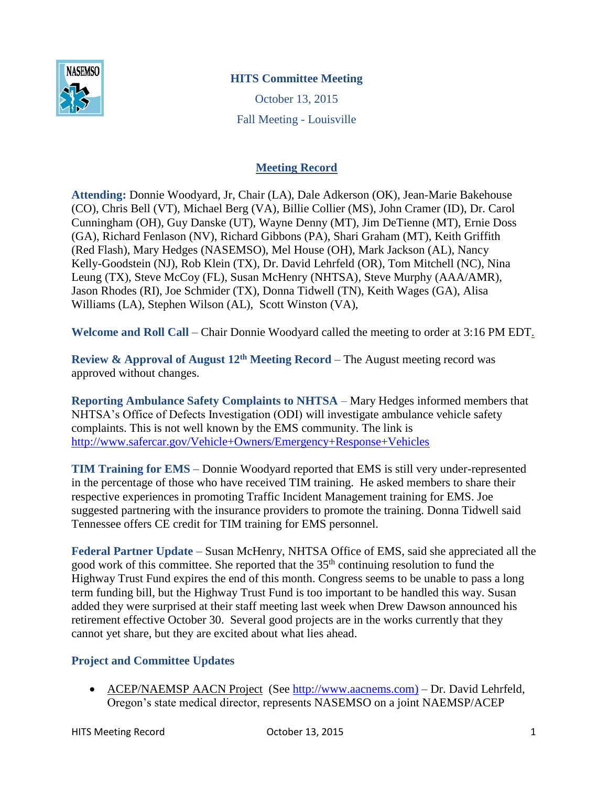

# **HITS Committee Meeting**

October 13, 2015 Fall Meeting - Louisville

## **Meeting Record**

**Attending:** Donnie Woodyard, Jr, Chair (LA), Dale Adkerson (OK), Jean-Marie Bakehouse (CO), Chris Bell (VT), Michael Berg (VA), Billie Collier (MS), John Cramer (ID), Dr. Carol Cunningham (OH), Guy Danske (UT), Wayne Denny (MT), Jim DeTienne (MT), Ernie Doss (GA), Richard Fenlason (NV), Richard Gibbons (PA), Shari Graham (MT), Keith Griffith (Red Flash), Mary Hedges (NASEMSO), Mel House (OH), Mark Jackson (AL), Nancy Kelly-Goodstein (NJ), Rob Klein (TX), Dr. David Lehrfeld (OR), Tom Mitchell (NC), Nina Leung (TX), Steve McCoy (FL), Susan McHenry (NHTSA), Steve Murphy (AAA/AMR), Jason Rhodes (RI), Joe Schmider (TX), Donna Tidwell (TN), Keith Wages (GA), Alisa Williams (LA), Stephen Wilson (AL), Scott Winston (VA),

**Welcome and Roll Call** – Chair Donnie Woodyard called the meeting to order at 3:16 PM EDT.

**Review & Approval of August 12th Meeting Record** – The August meeting record was approved without changes.

**Reporting Ambulance Safety Complaints to NHTSA** – Mary Hedges informed members that NHTSA's Office of Defects Investigation (ODI) will investigate ambulance vehicle safety complaints. This is not well known by the EMS community. The link is <http://www.safercar.gov/Vehicle+Owners/Emergency+Response+Vehicles>

**TIM Training for EMS** – Donnie Woodyard reported that EMS is still very under-represented in the percentage of those who have received TIM training. He asked members to share their respective experiences in promoting Traffic Incident Management training for EMS. Joe suggested partnering with the insurance providers to promote the training. Donna Tidwell said Tennessee offers CE credit for TIM training for EMS personnel.

**Federal Partner Update** – Susan McHenry, NHTSA Office of EMS, said she appreciated all the good work of this committee. She reported that the 35<sup>th</sup> continuing resolution to fund the Highway Trust Fund expires the end of this month. Congress seems to be unable to pass a long term funding bill, but the Highway Trust Fund is too important to be handled this way. Susan added they were surprised at their staff meeting last week when Drew Dawson announced his retirement effective October 30. Several good projects are in the works currently that they cannot yet share, but they are excited about what lies ahead.

### **Project and Committee Updates**

 ACEP/NAEMSP AACN Project (See [http://www.aacnems.com\)](http://www.aacnems.com/) – Dr. David Lehrfeld, Oregon's state medical director, represents NASEMSO on a joint NAEMSP/ACEP